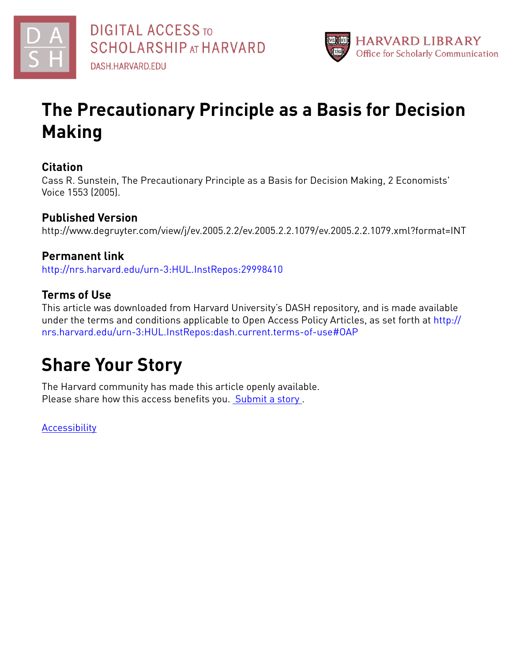



# **The Precautionary Principle as a Basis for Decision Making**

### **Citation**

Cass R. Sunstein, The Precautionary Principle as a Basis for Decision Making, 2 Economists' Voice 1553 (2005).

## **Published Version**

http://www.degruyter.com/view/j/ev.2005.2.2/ev.2005.2.2.1079/ev.2005.2.2.1079.xml?format=INT

## **Permanent link**

<http://nrs.harvard.edu/urn-3:HUL.InstRepos:29998410>

## **Terms of Use**

This article was downloaded from Harvard University's DASH repository, and is made available under the terms and conditions applicable to Open Access Policy Articles, as set forth at [http://](http://nrs.harvard.edu/urn-3:HUL.InstRepos:dash.current.terms-of-use#OAP) [nrs.harvard.edu/urn-3:HUL.InstRepos:dash.current.terms-of-use#OAP](http://nrs.harvard.edu/urn-3:HUL.InstRepos:dash.current.terms-of-use#OAP)

## **Share Your Story**

The Harvard community has made this article openly available. Please share how this access benefits you. [Submit](http://osc.hul.harvard.edu/dash/open-access-feedback?handle=&title=The%20Precautionary%20Principle%20as%20a%20Basis%20for%20Decision%20Making&community=1/7&collection=1/8&owningCollection1/8&harvardAuthors=89146231930c50046c52a7d6e7f9ab5b&department) a story.

**[Accessibility](https://dash.harvard.edu/pages/accessibility)**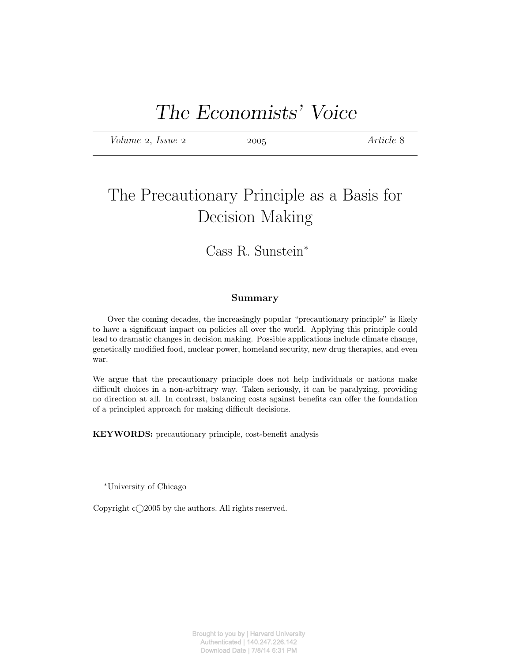| Volume 2, Issue 2 | 2005 | Article 8 |
|-------------------|------|-----------|
|-------------------|------|-----------|

## The Precautionary Principle as a Basis for Decision Making

## Cass R. Sunstein<sup>∗</sup>

#### Summary

Over the coming decades, the increasingly popular "precautionary principle" is likely to have a significant impact on policies all over the world. Applying this principle could lead to dramatic changes in decision making. Possible applications include climate change, genetically modified food, nuclear power, homeland security, new drug therapies, and even war.

We argue that the precautionary principle does not help individuals or nations make difficult choices in a non-arbitrary way. Taken seriously, it can be paralyzing, providing no direction at all. In contrast, balancing costs against benefits can offer the foundation of a principled approach for making difficult decisions.

KEYWORDS: precautionary principle, cost-benefit analysis

<sup>∗</sup>University of Chicago

Copyright c 2005 by the authors. All rights reserved.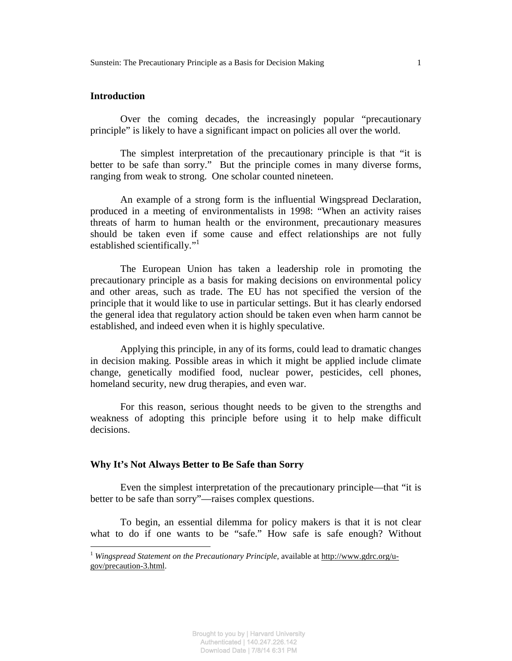#### **Introduction**

Over the coming decades, the increasingly popular "precautionary principle" is likely to have a significant impact on policies all over the world.

The simplest interpretation of the precautionary principle is that "it is better to be safe than sorry." But the principle comes in many diverse forms, ranging from weak to strong. One scholar counted nineteen.

An example of a strong form is the influential Wingspread Declaration, produced in a meeting of environmentalists in 1998: "When an activity raises threats of harm to human health or the environment, precautionary measures should be taken even if some cause and effect relationships are not fully established scientifically."1

The European Union has taken a leadership role in promoting the precautionary principle as a basis for making decisions on environmental policy and other areas, such as trade. The EU has not specified the version of the principle that it would like to use in particular settings. But it has clearly endorsed the general idea that regulatory action should be taken even when harm cannot be established, and indeed even when it is highly speculative.

Applying this principle, in any of its forms, could lead to dramatic changes in decision making. Possible areas in which it might be applied include climate change, genetically modified food, nuclear power, pesticides, cell phones, homeland security, new drug therapies, and even war.

For this reason, serious thought needs to be given to the strengths and weakness of adopting this principle before using it to help make difficult decisions.

#### **Why It's Not Always Better to Be Safe than Sorry**

Even the simplest interpretation of the precautionary principle—that "it is better to be safe than sorry"—raises complex questions.

To begin, an essential dilemma for policy makers is that it is not clear what to do if one wants to be "safe." How safe is safe enough? Without

<sup>1</sup> *Wingspread Statement on the Precautionary Principle,* available at http://www.gdrc.org/ugov/precaution-3.html.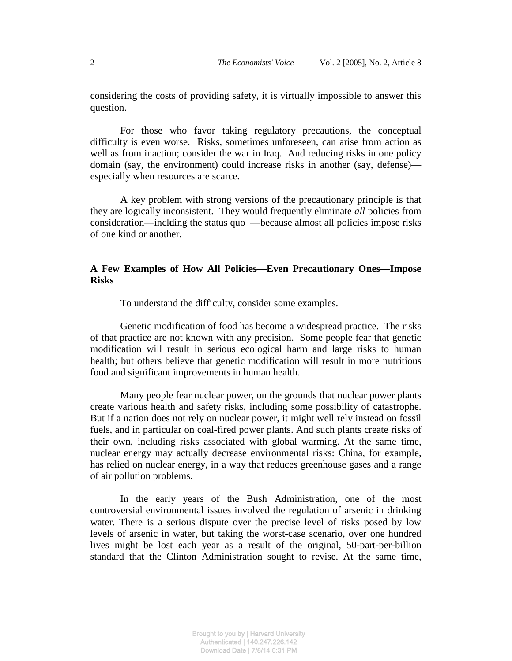considering the costs of providing safety, it is virtually impossible to answer this question.

For those who favor taking regulatory precautions, the conceptual difficulty is even worse. Risks, sometimes unforeseen, can arise from action as well as from inaction; consider the war in Iraq. And reducing risks in one policy domain (say, the environment) could increase risks in another (say, defense) especially when resources are scarce.

A key problem with strong versions of the precautionary principle is that they are logically inconsistent. They would frequently eliminate *all* policies from consideration—including the status quo —because almost all policies impose risks of one kind or another.

#### **A Few Examples of How All Policies—Even Precautionary Ones—Impose Risks**

To understand the difficulty, consider some examples.

Genetic modification of food has become a widespread practice. The risks of that practice are not known with any precision. Some people fear that genetic modification will result in serious ecological harm and large risks to human health; but others believe that genetic modification will result in more nutritious food and significant improvements in human health.

Many people fear nuclear power, on the grounds that nuclear power plants create various health and safety risks, including some possibility of catastrophe. But if a nation does not rely on nuclear power, it might well rely instead on fossil fuels, and in particular on coal-fired power plants. And such plants create risks of their own, including risks associated with global warming. At the same time, nuclear energy may actually decrease environmental risks: China, for example, has relied on nuclear energy, in a way that reduces greenhouse gases and a range of air pollution problems.

In the early years of the Bush Administration, one of the most controversial environmental issues involved the regulation of arsenic in drinking water. There is a serious dispute over the precise level of risks posed by low levels of arsenic in water, but taking the worst-case scenario, over one hundred lives might be lost each year as a result of the original, 50-part-per-billion standard that the Clinton Administration sought to revise. At the same time,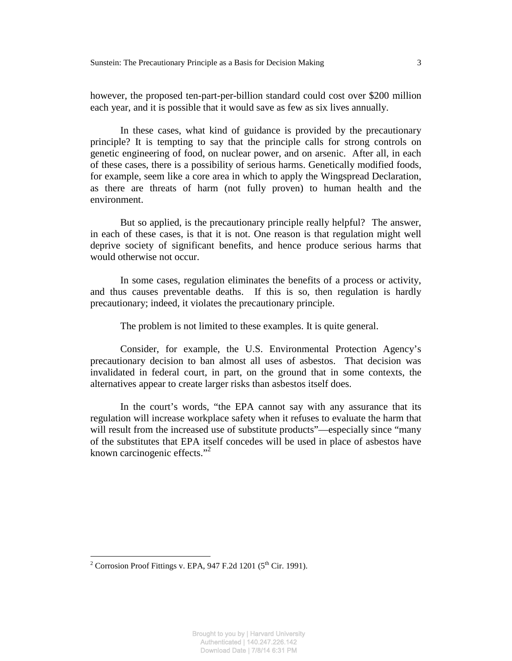however, the proposed ten-part-per-billion standard could cost over \$200 million each year, and it is possible that it would save as few as six lives annually.

In these cases, what kind of guidance is provided by the precautionary principle? It is tempting to say that the principle calls for strong controls on genetic engineering of food, on nuclear power, and on arsenic. After all, in each of these cases, there is a possibility of serious harms. Genetically modified foods, for example, seem like a core area in which to apply the Wingspread Declaration, as there are threats of harm (not fully proven) to human health and the environment.

But so applied, is the precautionary principle really helpful? The answer, in each of these cases, is that it is not. One reason is that regulation might well deprive society of significant benefits, and hence produce serious harms that would otherwise not occur.

In some cases, regulation eliminates the benefits of a process or activity, and thus causes preventable deaths. If this is so, then regulation is hardly precautionary; indeed, it violates the precautionary principle.

The problem is not limited to these examples. It is quite general.

Consider, for example, the U.S. Environmental Protection Agency's precautionary decision to ban almost all uses of asbestos. That decision was invalidated in federal court, in part, on the ground that in some contexts, the alternatives appear to create larger risks than asbestos itself does.

In the court's words, "the EPA cannot say with any assurance that its regulation will increase workplace safety when it refuses to evaluate the harm that will result from the increased use of substitute products"—especially since "many" of the substitutes that EPA itself concedes will be used in place of asbestos have known carcinogenic effects." $\frac{1}{2}$ 

<sup>&</sup>lt;sup>2</sup> Corrosion Proof Fittings v. EPA, 947 F.2d 1201 (5<sup>th</sup> Cir. 1991).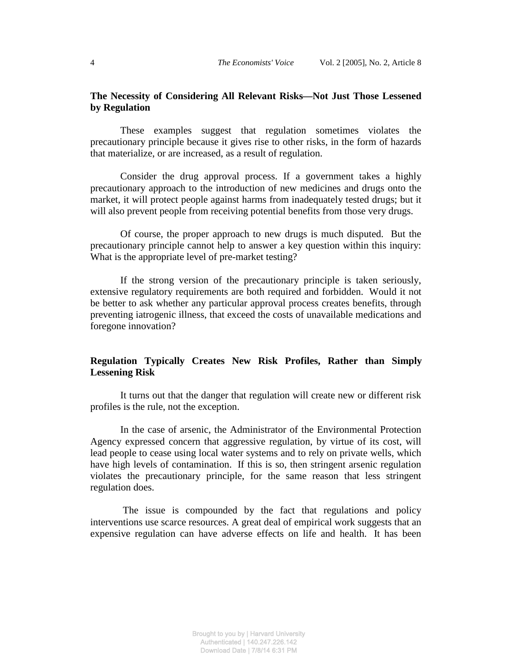These examples suggest that regulation sometimes violates the precautionary principle because it gives rise to other risks, in the form of hazards that materialize, or are increased, as a result of regulation.

Consider the drug approval process. If a government takes a highly precautionary approach to the introduction of new medicines and drugs onto the market, it will protect people against harms from inadequately tested drugs; but it will also prevent people from receiving potential benefits from those very drugs.

Of course, the proper approach to new drugs is much disputed. But the precautionary principle cannot help to answer a key question within this inquiry: What is the appropriate level of pre-market testing?

If the strong version of the precautionary principle is taken seriously, extensive regulatory requirements are both required and forbidden. Would it not be better to ask whether any particular approval process creates benefits, through preventing iatrogenic illness, that exceed the costs of unavailable medications and foregone innovation?

#### **Regulation Typically Creates New Risk Profiles, Rather than Simply Lessening Risk**

It turns out that the danger that regulation will create new or different risk profiles is the rule, not the exception.

In the case of arsenic, the Administrator of the Environmental Protection Agency expressed concern that aggressive regulation, by virtue of its cost, will lead people to cease using local water systems and to rely on private wells, which have high levels of contamination. If this is so, then stringent arsenic regulation violates the precautionary principle, for the same reason that less stringent regulation does.

 The issue is compounded by the fact that regulations and policy interventions use scarce resources. A great deal of empirical work suggests that an expensive regulation can have adverse effects on life and health. It has been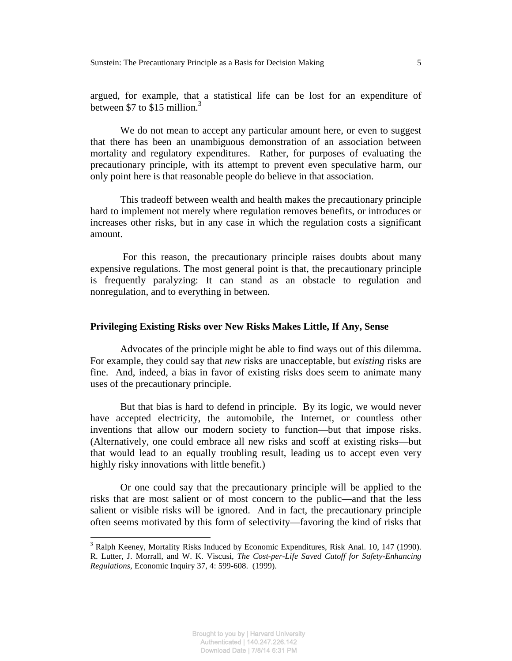argued, for example, that a statistical life can be lost for an expenditure of between \$7 to \$15 million.<sup>3</sup>

We do not mean to accept any particular amount here, or even to suggest that there has been an unambiguous demonstration of an association between mortality and regulatory expenditures. Rather, for purposes of evaluating the precautionary principle, with its attempt to prevent even speculative harm, our only point here is that reasonable people do believe in that association.

This tradeoff between wealth and health makes the precautionary principle hard to implement not merely where regulation removes benefits, or introduces or increases other risks, but in any case in which the regulation costs a significant amount.

 For this reason, the precautionary principle raises doubts about many expensive regulations. The most general point is that, the precautionary principle is frequently paralyzing: It can stand as an obstacle to regulation and nonregulation, and to everything in between.

#### **Privileging Existing Risks over New Risks Makes Little, If Any, Sense**

Advocates of the principle might be able to find ways out of this dilemma. For example, they could say that *new* risks are unacceptable, but *existing* risks are fine. And, indeed, a bias in favor of existing risks does seem to animate many uses of the precautionary principle.

But that bias is hard to defend in principle. By its logic, we would never have accepted electricity, the automobile, the Internet, or countless other inventions that allow our modern society to function—but that impose risks. (Alternatively, one could embrace all new risks and scoff at existing risks—but that would lead to an equally troubling result, leading us to accept even very highly risky innovations with little benefit.)

Or one could say that the precautionary principle will be applied to the risks that are most salient or of most concern to the public—and that the less salient or visible risks will be ignored. And in fact, the precautionary principle often seems motivated by this form of selectivity—favoring the kind of risks that

<sup>&</sup>lt;sup>3</sup> Ralph Keeney, Mortality Risks Induced by Economic Expenditures, Risk Anal. 10, 147 (1990). R. Lutter, J. Morrall, and W. K. Viscusi, *The Cost-per-Life Saved Cutoff for Safety-Enhancing Regulations*, Economic Inquiry 37, 4: 599-608. (1999).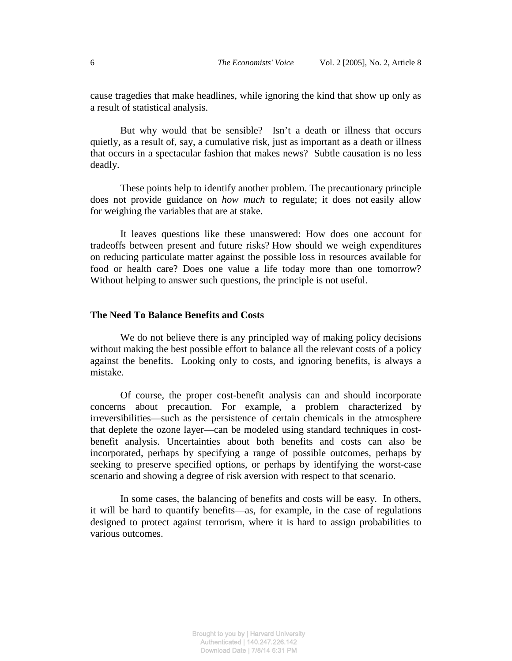cause tragedies that make headlines, while ignoring the kind that show up only as a result of statistical analysis.

But why would that be sensible? Isn't a death or illness that occurs quietly, as a result of, say, a cumulative risk, just as important as a death or illness that occurs in a spectacular fashion that makes news? Subtle causation is no less deadly.

These points help to identify another problem. The precautionary principle does not provide guidance on *how much* to regulate; it does not easily allow for weighing the variables that are at stake.

It leaves questions like these unanswered: How does one account for tradeoffs between present and future risks? How should we weigh expenditures on reducing particulate matter against the possible loss in resources available for food or health care? Does one value a life today more than one tomorrow? Without helping to answer such questions, the principle is not useful.

#### **The Need To Balance Benefits and Costs**

We do not believe there is any principled way of making policy decisions without making the best possible effort to balance all the relevant costs of a policy against the benefits. Looking only to costs, and ignoring benefits, is always a mistake.

Of course, the proper cost-benefit analysis can and should incorporate concerns about precaution. For example, a problem characterized by irreversibilities—such as the persistence of certain chemicals in the atmosphere that deplete the ozone layer—can be modeled using standard techniques in costbenefit analysis. Uncertainties about both benefits and costs can also be incorporated, perhaps by specifying a range of possible outcomes, perhaps by seeking to preserve specified options, or perhaps by identifying the worst-case scenario and showing a degree of risk aversion with respect to that scenario.

In some cases, the balancing of benefits and costs will be easy. In others, it will be hard to quantify benefits—as, for example, in the case of regulations designed to protect against terrorism, where it is hard to assign probabilities to various outcomes.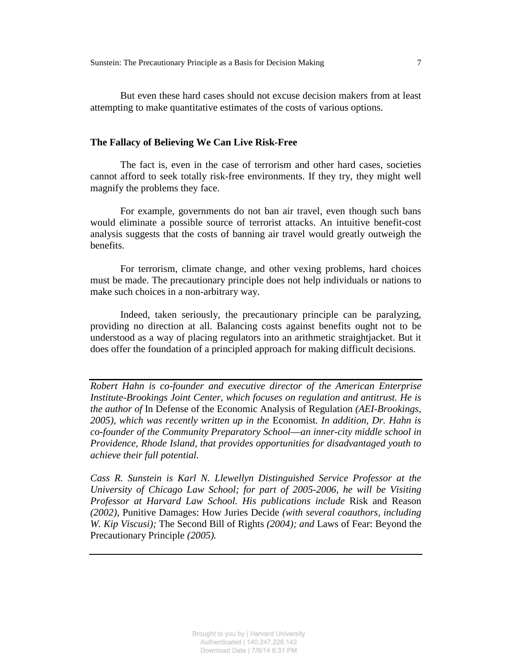But even these hard cases should not excuse decision makers from at least attempting to make quantitative estimates of the costs of various options.

#### **The Fallacy of Believing We Can Live Risk-Free**

The fact is, even in the case of terrorism and other hard cases, societies cannot afford to seek totally risk-free environments. If they try, they might well magnify the problems they face.

For example, governments do not ban air travel, even though such bans would eliminate a possible source of terrorist attacks. An intuitive benefit-cost analysis suggests that the costs of banning air travel would greatly outweigh the benefits.

For terrorism, climate change, and other vexing problems, hard choices must be made. The precautionary principle does not help individuals or nations to make such choices in a non-arbitrary way.

Indeed, taken seriously, the precautionary principle can be paralyzing, providing no direction at all. Balancing costs against benefits ought not to be understood as a way of placing regulators into an arithmetic straightjacket. But it does offer the foundation of a principled approach for making difficult decisions.

*Robert Hahn is co-founder and executive director of the American Enterprise Institute-Brookings Joint Center, which focuses on regulation and antitrust. He is the author of* In Defense of the Economic Analysis of Regulation *(AEI-Brookings, 2005), which was recently written up in the* Economist*. In addition, Dr. Hahn is co-founder of the Community Preparatory School*—*an inner-city middle school in Providence, Rhode Island, that provides opportunities for disadvantaged youth to achieve their full potential.* 

*Cass R. Sunstein is Karl N. Llewellyn Distinguished Service Professor at the University of Chicago Law School; for part of 2005-2006, he will be Visiting Professor at Harvard Law School. His publications include* Risk and Reason *(2002),* Punitive Damages: How Juries Decide *(with several coauthors, including W. Kip Viscusi);* The Second Bill of Rights *(2004); and* Laws of Fear: Beyond the Precautionary Principle *(2005).*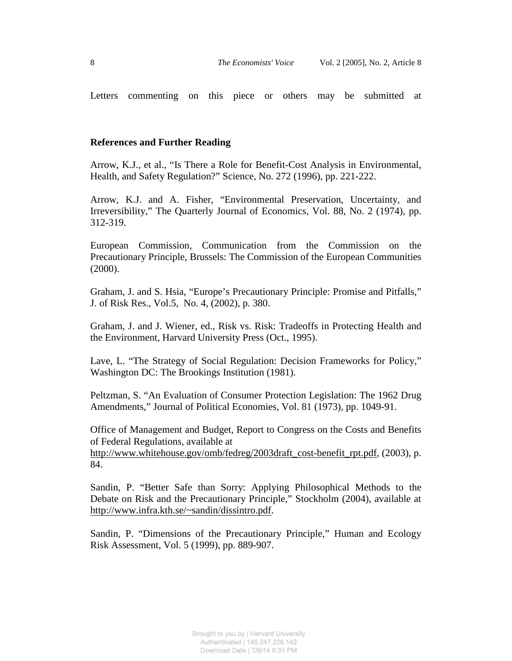Letters commenting on this piece or others may be submitted at

#### **References and Further Reading**

Arrow, K.J., et al., "Is There a Role for Benefit-Cost Analysis in Environmental, Health, and Safety Regulation?" Science, No. 272 (1996), pp. 221-222.

Arrow, K.J. and A. Fisher, "Environmental Preservation, Uncertainty, and Irreversibility," The Quarterly Journal of Economics, Vol. 88, No. 2 (1974), pp. 312-319.

European Commission, Communication from the Commission on the Precautionary Principle, Brussels: The Commission of the European Communities  $(2000).$ 

Graham, J. and S. Hsia, "Europe's Precautionary Principle: Promise and Pitfalls," J. of Risk Res., Vol.5, No. 4, (2002), p. 380.

Graham, J. and J. Wiener, ed., Risk vs. Risk: Tradeoffs in Protecting Health and the Environment, Harvard University Press (Oct., 1995).

Lave, L. "The Strategy of Social Regulation: Decision Frameworks for Policy," Washington DC: The Brookings Institution (1981).

Peltzman, S. "An Evaluation of Consumer Protection Legislation: The 1962 Drug Amendments," Journal of Political Economies, Vol. 81 (1973), pp. 1049-91.

Office of Management and Budget, Report to Congress on the Costs and Benefits of Federal Regulations, available at

http://www.whitehouse.gov/omb/fedreg/2003draft\_cost-benefit\_rpt.pdf, (2003), p. 84.

Sandin, P. "Better Safe than Sorry: Applying Philosophical Methods to the Debate on Risk and the Precautionary Principle," Stockholm (2004), available at http://www.infra.kth.se/~sandin/dissintro.pdf.

Sandin, P. "Dimensions of the Precautionary Principle," Human and Ecology Risk Assessment, Vol. 5 (1999), pp. 889-907.